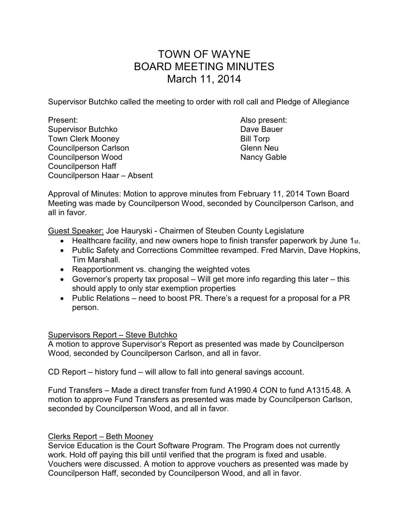# TOWN OF WAYNE BOARD MEETING MINUTES March 11, 2014

Supervisor Butchko called the meeting to order with roll call and Pledge of Allegiance

Present: Also present: Supervisor Butchko **Dave Bauer** Dave Bauer Town Clerk Mooney **Bill Torp** Councilperson Carlson Garles Council Council Device Council Device Council Device Council Device Council Device Council Device Council Device Council Device Council Device Council Device Council Device Council Device Counc Councilperson Wood Nancy Gable Councilperson Haff Councilperson Haar – Absent

Approval of Minutes: Motion to approve minutes from February 11, 2014 Town Board Meeting was made by Councilperson Wood, seconded by Councilperson Carlson, and all in favor.

Guest Speaker: Joe Hauryski - Chairmen of Steuben County Legislature

- Healthcare facility, and new owners hope to finish transfer paperwork by June 1st.
- Public Safety and Corrections Committee revamped. Fred Marvin, Dave Hopkins, Tim Marshall.
- Reapportionment vs. changing the weighted votes
- Governor's property tax proposal Will get more info regarding this later this should apply to only star exemption properties
- Public Relations need to boost PR. There's a request for a proposal for a PR person.

# Supervisors Report – Steve Butchko

A motion to approve Supervisor's Report as presented was made by Councilperson Wood, seconded by Councilperson Carlson, and all in favor.

CD Report – history fund – will allow to fall into general savings account.

Fund Transfers – Made a direct transfer from fund A1990.4 CON to fund A1315.48. A motion to approve Fund Transfers as presented was made by Councilperson Carlson, seconded by Councilperson Wood, and all in favor.

# Clerks Report – Beth Mooney

Service Education is the Court Software Program. The Program does not currently work. Hold off paying this bill until verified that the program is fixed and usable. Vouchers were discussed. A motion to approve vouchers as presented was made by Councilperson Haff, seconded by Councilperson Wood, and all in favor.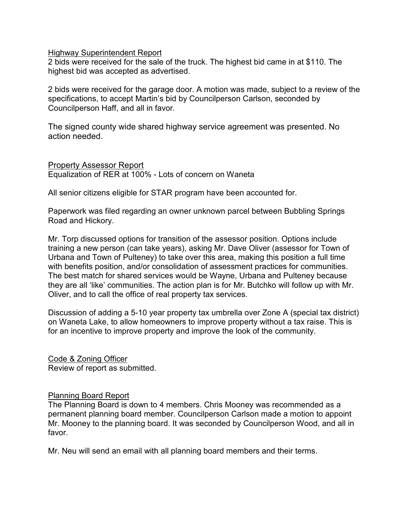### Highway Superintendent Report

2 bids were received for the sale of the truck. The highest bid came in at \$110. The highest bid was accepted as advertised.

2 bids were received for the garage door. A motion was made, subject to a review of the specifications, to accept Martin's bid by Councilperson Carlson, seconded by Councilperson Haff, and all in favor.

The signed county wide shared highway service agreement was presented. No action needed.

Property Assessor Report Equalization of RER at 100% - Lots of concern on Waneta

All senior citizens eligible for STAR program have been accounted for.

Paperwork was filed regarding an owner unknown parcel between Bubbling Springs Road and Hickory.

Mr. Torp discussed options for transition of the assessor position. Options include training a new person (can take years), asking Mr. Dave Oliver (assessor for Town of Urbana and Town of Pulteney) to take over this area, making this position a full time with benefits position, and/or consolidation of assessment practices for communities. The best match for shared services would be Wayne, Urbana and Pulteney because they are all 'like' communities. The action plan is for Mr. Butchko will follow up with Mr. Oliver, and to call the office of real property tax services.

Discussion of adding a 5-10 year property tax umbrella over Zone A (special tax district) on Waneta Lake, to allow homeowners to improve property without a tax raise. This is for an incentive to improve property and improve the look of the community.

Code & Zoning Officer Review of report as submitted.

## Planning Board Report

The Planning Board is down to 4 members. Chris Mooney was recommended as a permanent planning board member. Councilperson Carlson made a motion to appoint Mr. Mooney to the planning board. It was seconded by Councilperson Wood, and all in favor.

Mr. Neu will send an email with all planning board members and their terms.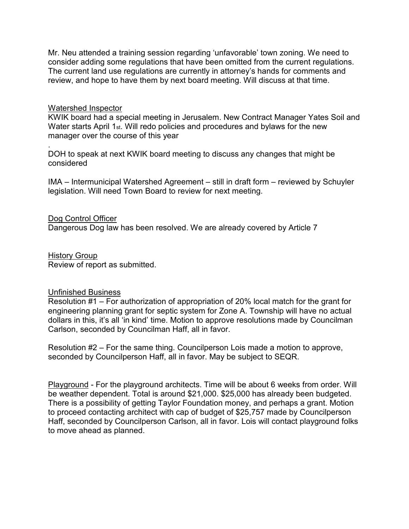Mr. Neu attended a training session regarding 'unfavorable' town zoning. We need to consider adding some regulations that have been omitted from the current regulations. The current land use regulations are currently in attorney's hands for comments and review, and hope to have them by next board meeting. Will discuss at that time.

## Watershed Inspector

KWIK board had a special meeting in Jerusalem. New Contract Manager Yates Soil and Water starts April 1st. Will redo policies and procedures and bylaws for the new manager over the course of this year

. DOH to speak at next KWIK board meeting to discuss any changes that might be considered

IMA – Intermunicipal Watershed Agreement – still in draft form – reviewed by Schuyler legislation. Will need Town Board to review for next meeting.

### Dog Control Officer

Dangerous Dog law has been resolved. We are already covered by Article 7

History Group Review of report as submitted.

### Unfinished Business

Resolution #1 – For authorization of appropriation of 20% local match for the grant for engineering planning grant for septic system for Zone A. Township will have no actual dollars in this, it's all 'in kind' time. Motion to approve resolutions made by Councilman Carlson, seconded by Councilman Haff, all in favor.

Resolution #2 – For the same thing. Councilperson Lois made a motion to approve, seconded by Councilperson Haff, all in favor. May be subject to SEQR.

Playground - For the playground architects. Time will be about 6 weeks from order. Will be weather dependent. Total is around \$21,000. \$25,000 has already been budgeted. There is a possibility of getting Taylor Foundation money, and perhaps a grant. Motion to proceed contacting architect with cap of budget of \$25,757 made by Councilperson Haff, seconded by Councilperson Carlson, all in favor. Lois will contact playground folks to move ahead as planned.